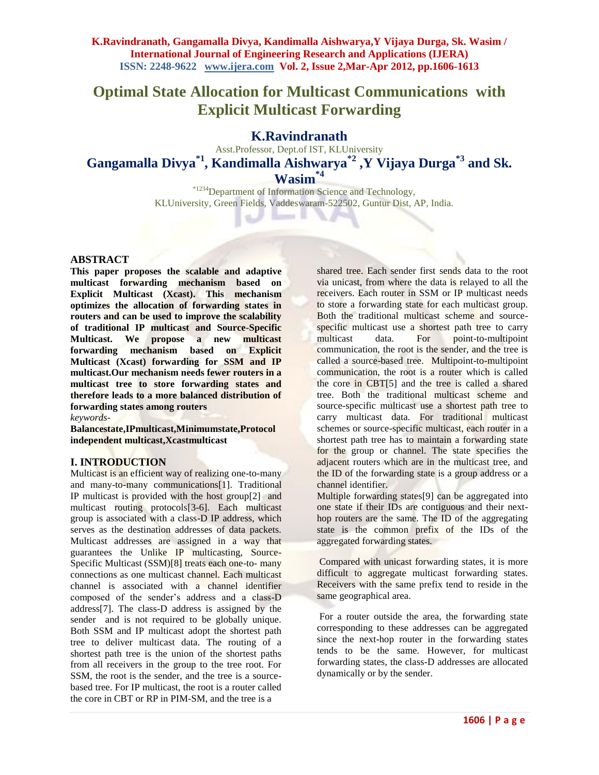# **Optimal State Allocation for Multicast Communications with Explicit Multicast Forwarding**

## **K.Ravindranath**

Asst.Professor, Dept.of IST, KLUniversity **Gangamalla Divya\*1 , Kandimalla Aishwarya\*2 ,Y Vijaya Durga\*3 and Sk. Wasim\*4**

- 1

\*1234Department of Information Science and Technology, KLUniversity, Green Fields, Vaddeswaram-522502, Guntur Dist, AP, India.

#### **ABSTRACT**

**This paper proposes the scalable and adaptive multicast forwarding mechanism based on Explicit Multicast (Xcast). This mechanism optimizes the allocation of forwarding states in routers and can be used to improve the scalability of traditional IP multicast and Source-Specific Multicast. We propose a new multicast forwarding mechanism based on Explicit Multicast (Xcast) forwarding for SSM and IP multicast.Our mechanism needs fewer routers in a multicast tree to store forwarding states and therefore leads to a more balanced distribution of forwarding states among routers**

*keywords-*

**Balancestate,IPmulticast,Minimumstate,Protocol independent multicast,Xcastmulticast**

#### **I. INTRODUCTION**

Multicast is an efficient way of realizing one-to-many and many-to-many communications[1]. Traditional IP multicast is provided with the host group[2] and multicast routing protocols[3-6]. Each multicast group is associated with a class-D IP address, which serves as the destination addresses of data packets. Multicast addresses are assigned in a way that guarantees the Unlike IP multicasting, Source-Specific Multicast (SSM)[8] treats each one-to- many connections as one multicast channel. Each multicast channel is associated with a channel identifier composed of the sender's address and a class-D address[7]. The class-D address is assigned by the sender and is not required to be globally unique. Both SSM and IP multicast adopt the shortest path tree to deliver multicast data. The routing of a shortest path tree is the union of the shortest paths from all receivers in the group to the tree root. For SSM, the root is the sender, and the tree is a sourcebased tree. For IP multicast, the root is a router called the core in CBT or RP in PIM-SM, and the tree is a

shared tree. Each sender first sends data to the root via unicast, from where the data is relayed to all the receivers. Each router in SSM or IP multicast needs to store a forwarding state for each multicast group. Both the traditional multicast scheme and sourcespecific multicast use a shortest path tree to carry multicast data. For point-to-multipoint communication, the root is the sender, and the tree is called a source-based tree. Multipoint-to-multipoint communication, the root is a router which is called the core in CBT[5] and the tree is called a shared tree. Both the traditional multicast scheme and source-specific multicast use a shortest path tree to carry multicast data. For traditional multicast schemes or source-specific multicast, each router in a shortest path tree has to maintain a forwarding state for the group or channel. The state specifies the adjacent routers which are in the multicast tree, and the ID of the forwarding state is a group address or a channel identifier.

Multiple forwarding states[9] can be aggregated into one state if their IDs are contiguous and their nexthop routers are the same. The ID of the aggregating state is the common prefix of the IDs of the aggregated forwarding states.

Compared with unicast forwarding states, it is more difficult to aggregate multicast forwarding states. Receivers with the same prefix tend to reside in the same geographical area.

For a router outside the area, the forwarding state corresponding to these addresses can be aggregated since the next-hop router in the forwarding states tends to be the same. However, for multicast forwarding states, the class-D addresses are allocated dynamically or by the sender.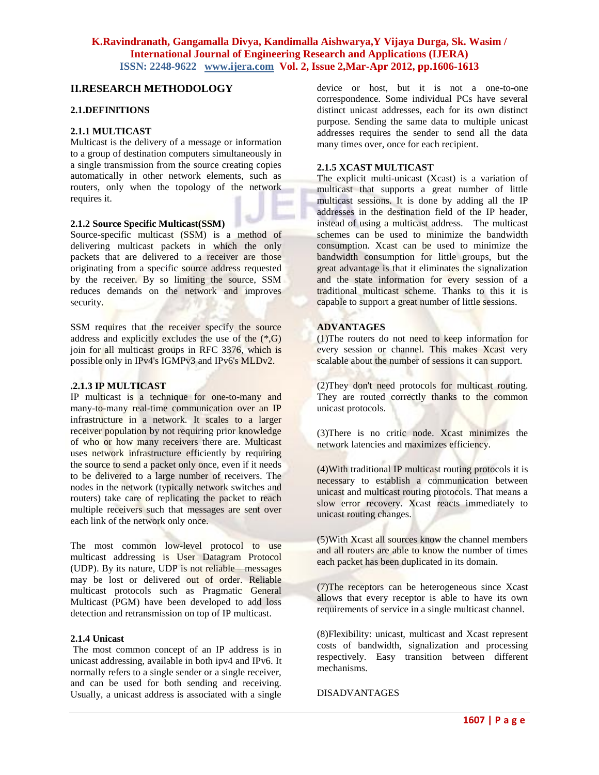## **II.RESEARCH METHODOLOGY**

#### **2.1.DEFINITIONS**

#### **2.1.1 MULTICAST**

Multicast is the delivery of a message or information to a group of destination computers simultaneously in a single transmission from the source creating copies automatically in other network elements, such as routers, only when the topology of the network requires it.

#### **2.1.2 Source Specific Multicast(SSM)**

Source-specific multicast (SSM) is a method of delivering [multicast](http://en.wikipedia.org/wiki/Multicast) packets in which the only packets that are delivered to a receiver are those originating from a specific source address requested by the receiver. By so limiting the source, SSM reduces demands on the network and improves security.

SSM requires that the receiver specify the source address and explicitly excludes the use of the  $(*,G)$ join for all multicast groups in [RFC 3376,](http://tools.ietf.org/html/rfc3376) which is possible only in IPv4's [IGMPv3](http://en.wikipedia.org/wiki/IGMPv3) and IPv6's MLDv2.

#### **.2.1.3 IP MULTICAST**

IP multicast is a technique for [one-to-many](http://en.wikipedia.org/wiki/One-to-many) and [many-to-many](http://en.wikipedia.org/wiki/Many-to-many) real-time communication over an IP infrastructure in a network. It scales to a larger receiver population by not requiring prior knowledge of who or how many receivers there are. Multicast uses network infrastructure efficiently by requiring the source to send a packet only once, even if it needs to be delivered to a large number of receivers. The nodes in the network (typically [network switches](http://en.wikipedia.org/wiki/Network_switch) and [routers\)](http://en.wikipedia.org/wiki/Router_%28computing%29) take care of replicating the packet to reach multiple receivers such that messages are sent over each link of the network only once.

The most common low-level protocol to use multicast addressing is [User Datagram Protocol](http://en.wikipedia.org/wiki/User_Datagram_Protocol) (UDP). By its nature, UDP is not reliable—messages may be lost or delivered out of order. [Reliable](http://en.wikipedia.org/wiki/Reliable_multicast)  [multicast](http://en.wikipedia.org/wiki/Reliable_multicast) protocols such as [Pragmatic General](http://en.wikipedia.org/wiki/Pragmatic_General_Multicast)  [Multicast](http://en.wikipedia.org/wiki/Pragmatic_General_Multicast) (PGM) have been developed to add loss detection and retransmission on top of IP multicast.

#### **2.1.4 [Unicast](http://en.wikipedia.org/wiki/Unicast)**

The most common concept of an IP address is in unicast addressing, available in both ipv4 and [IPv6.](http://en.wikipedia.org/wiki/IPv6) It normally refers to a single sender or a single receiver, and can be used for both sending and receiving. Usually, a unicast address is associated with a single

device or host, but it is not a one-to-one correspondence. Some individual PCs have several distinct unicast addresses, each for its own distinct purpose. Sending the same data to multiple unicast addresses requires the sender to send all the data many times over, once for each recipient.

## **2.1.5 XCAST MULTICAST**

The explicit multi-unicast (Xcast) is a variation of [multicast](http://en.wikipedia.org/wiki/Multicast) that supports a great number of little multicast sessions. It is done by adding all the [IP](http://en.wikipedia.org/wiki/IP_address)  [addresses](http://en.wikipedia.org/wiki/IP_address) in the destination field of the IP header, instead of using a multicast address. The multicast schemes can be used to minimize the [bandwidth](http://en.wikipedia.org/wiki/Bandwidth_%28computing%29) consumption. Xcast can be used to minimize the bandwidth consumption for little groups, but the great advantage is that it eliminates the signalization and the state information for every session of a traditional multicast scheme. Thanks to this it is capable to support a great number of little sessions.

#### **ADVANTAGES**

(1)The [routers](http://en.wikipedia.org/wiki/Router_%28computing%29) do not need to keep information for every session or channel. This makes Xcast very scalable about the number of sessions it can support.

(2)They don't need protocols for [multicast](http://en.wikipedia.org/wiki/Multicast) routing. They are routed correctly thanks to the common [unicast](http://en.wikipedia.org/wiki/Unicast) protocols.

(3)There is no critic node. Xcast minimizes the [network](http://en.wikipedia.org/wiki/Computer_network) [latencies](http://en.wikipedia.org/w/index.php?title=Latencies&action=edit&redlink=1) and maximizes efficiency.

(4)With traditional [IP](http://en.wikipedia.org/wiki/Internet_Protocol) multicast routing protocols it is necessary to establish a communication between unicast and multicast routing protocols. That means a slow error recovery. Xcast reacts immediately to unicast routing changes.

(5)With Xcast all sources know the channel members and all routers are able to know the number of times each packet has been duplicated in its domain.

(7)The receptors can be heterogeneous since Xcast allows that every receptor is able to have its own requirements of service in a single multicast channel.

(8)Flexibility: unicast, multicast and Xcast represent costs of bandwidth, signalization and processing respectively. Easy transition between different mechanisms.

#### DISADVANTAGES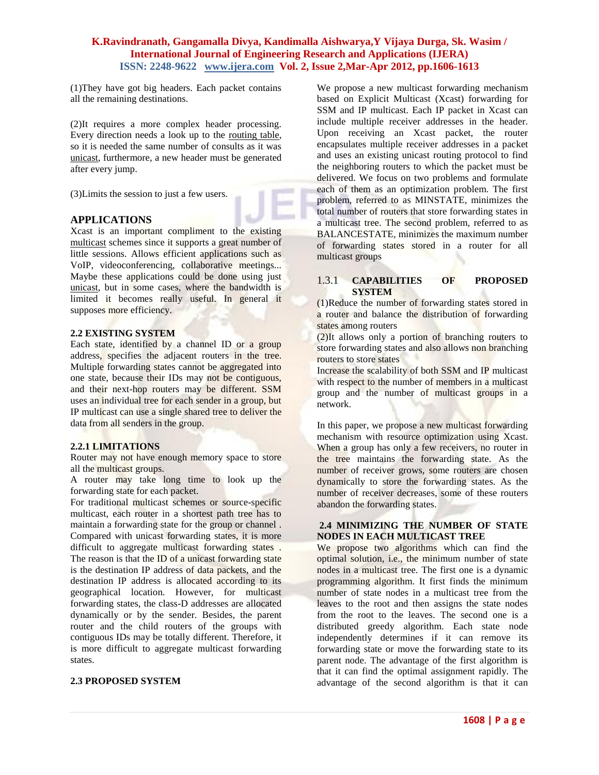(1)They have got big headers. Each packet contains all the remaining destinations.

(2)It requires a more complex header processing. Every direction needs a look up to the [routing table,](http://en.wikipedia.org/wiki/Routing_table) so it is needed the same number of consults as it was [unicast,](http://en.wikipedia.org/wiki/Unicast) furthermore, a new header must be generated after every jump.

(3)Limits the session to just a few users.

#### **APPLICATIONS**

Xcast is an important compliment to the existing [multicast](http://en.wikipedia.org/wiki/Multicast) schemes since it supports a great number of little sessions. Allows efficient applications such as VoIP, videoconferencing, collaborative meetings... Maybe these applications could be done using just [unicast,](http://en.wikipedia.org/wiki/Unicast) but in some cases, where the bandwidth is limited it becomes really useful. In general it supposes more efficiency.

#### **2.2 EXISTING SYSTEM**

Each state, identified by a channel ID or a group address, specifies the adjacent routers in the tree. Multiple forwarding states cannot be aggregated into one state, because their IDs may not be contiguous, and their next-hop routers may be different. SSM uses an individual tree for each sender in a group, but IP multicast can use a single shared tree to deliver the data from all senders in the group.

#### **2.2.1 LIMITATIONS**

Router may not have enough memory space to store all the multicast groups.

A router may take long time to look up the forwarding state for each packet.

For traditional multicast schemes or source-specific multicast, each router in a shortest path tree has to maintain a forwarding state for the group or channel . Compared with unicast forwarding states, it is more difficult to aggregate multicast forwarding states . The reason is that the ID of a unicast forwarding state is the destination IP address of data packets, and the destination IP address is allocated according to its geographical location. However, for multicast forwarding states, the class-D addresses are allocated dynamically or by the sender. Besides, the parent router and the child routers of the groups with contiguous IDs may be totally different. Therefore, it is more difficult to aggregate multicast forwarding states.

## **2.3 PROPOSED SYSTEM**

We propose a new multicast forwarding mechanism based on Explicit Multicast (Xcast) forwarding for SSM and IP multicast. Each IP packet in Xcast can include multiple receiver addresses in the header. Upon receiving an Xcast packet, the router encapsulates multiple receiver addresses in a packet and uses an existing unicast routing protocol to find the neighboring routers to which the packet must be delivered. We focus on two problems and formulate each of them as an optimization problem. The first problem, referred to as MINSTATE, minimizes the total number of routers that store forwarding states in a multicast tree. The second problem, referred to as BALANCESTATE, minimizes the maximum number of forwarding states stored in a router for all multicast groups

#### 1.3.1 **CAPABILITIES OF PROPOSED SYSTEM**

(1)Reduce the number of forwarding states stored in a router and balance the distribution of forwarding states among routers

(2)It allows only a portion of branching routers to store forwarding states and also allows non branching routers to store states

Increase the scalability of both SSM and IP multicast with respect to the number of members in a multicast group and the number of multicast groups in a network.

In this paper, we propose a new multicast forwarding mechanism with resource optimization using Xcast. When a group has only a few receivers, no router in the tree maintains the forwarding state. As the number of receiver grows, some routers are chosen dynamically to store the forwarding states. As the number of receiver decreases, some of these routers abandon the forwarding states.

#### **2.4 MINIMIZING THE NUMBER OF STATE NODES IN EACH MULTICAST TREE**

We propose two algorithms which can find the optimal solution, i.e., the minimum number of state nodes in a multicast tree. The first one is a dynamic programming algorithm. It first finds the minimum number of state nodes in a multicast tree from the leaves to the root and then assigns the state nodes from the root to the leaves. The second one is a distributed greedy algorithm. Each state node independently determines if it can remove its forwarding state or move the forwarding state to its parent node. The advantage of the first algorithm is that it can find the optimal assignment rapidly. The advantage of the second algorithm is that it can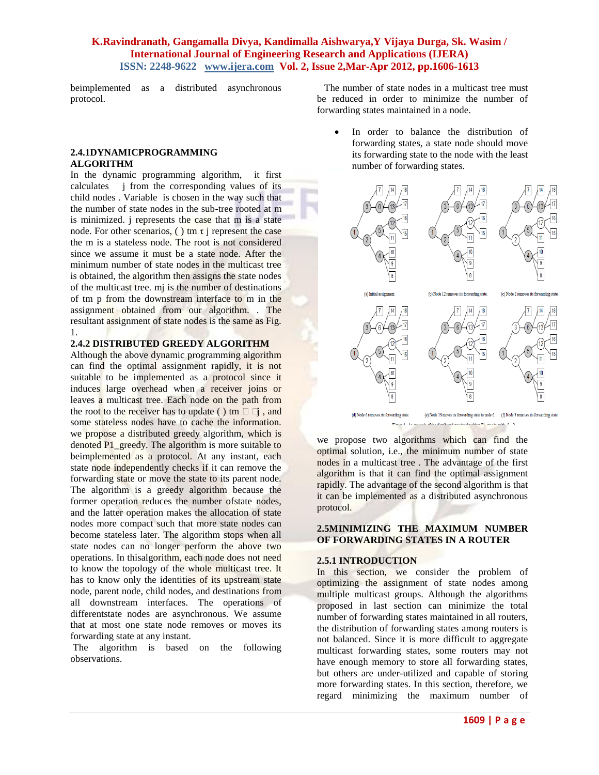beimplemented as a distributed asynchronous protocol.

#### **2.4.1DYNAMICPROGRAMMING ALGORITHM**

In the dynamic programming algorithm, it first calculates j from the corresponding values of its child nodes . Variable is chosen in the way such that the number of state nodes in the sub-tree rooted at m is minimized. j represents the case that m is a state node. For other scenarios, ( ) tm  $\tau$  j represent the case the m is a stateless node. The root is not considered since we assume it must be a state node. After the minimum number of state nodes in the multicast tree is obtained, the algorithm then assigns the state nodes of the multicast tree. mj is the number of destinations of tm p from the downstream interface to m in the assignment obtained from our algorithm. . The resultant assignment of state nodes is the same as Fig. 1.

#### **2.4.2 DISTRIBUTED GREEDY ALGORITHM**

Although the above dynamic programming algorithm can find the optimal assignment rapidly, it is not suitable to be implemented as a protocol since it induces large overhead when a receiver joins or leaves a multicast tree. Each node on the path from the root to the receiver has to update ( ) tm  $\Box$   $\Box$ , and some stateless nodes have to cache the information. we propose a distributed greedy algorithm, which is denoted P1\_greedy. The algorithm is more suitable to beimplemented as a protocol. At any instant, each state node independently checks if it can remove the forwarding state or move the state to its parent node. The algorithm is a greedy algorithm because the former operation reduces the number ofstate nodes, and the latter operation makes the allocation of state nodes more compact such that more state nodes can become stateless later. The algorithm stops when all state nodes can no longer perform the above two operations. In thisalgorithm, each node does not need to know the topology of the whole multicast tree. It has to know only the identities of its upstream state node, parent node, child nodes, and destinations from all downstream interfaces. The operations of differentstate nodes are asynchronous. We assume that at most one state node removes or moves its forwarding state at any instant.

The algorithm is based on the following observations.

 The number of state nodes in a multicast tree must be reduced in order to minimize the number of forwarding states maintained in a node.

> In order to balance the distribution of forwarding states, a state node should move its forwarding state to the node with the least number of forwarding states.



we propose two algorithms which can find the optimal solution, i.e., the minimum number of state nodes in a multicast tree . The advantage of the first algorithm is that it can find the optimal assignment rapidly. The advantage of the second algorithm is that it can be implemented as a distributed asynchronous protocol.

#### **2.5MINIMIZING THE MAXIMUM NUMBER OF FORWARDING STATES IN A ROUTER**

#### **2.5.1 INTRODUCTION**

In this section, we consider the problem of optimizing the assignment of state nodes among multiple multicast groups. Although the algorithms proposed in last section can minimize the total number of forwarding states maintained in all routers, the distribution of forwarding states among routers is not balanced. Since it is more difficult to aggregate multicast forwarding states, some routers may not have enough memory to store all forwarding states, but others are under-utilized and capable of storing more forwarding states. In this section, therefore, we regard minimizing the maximum number of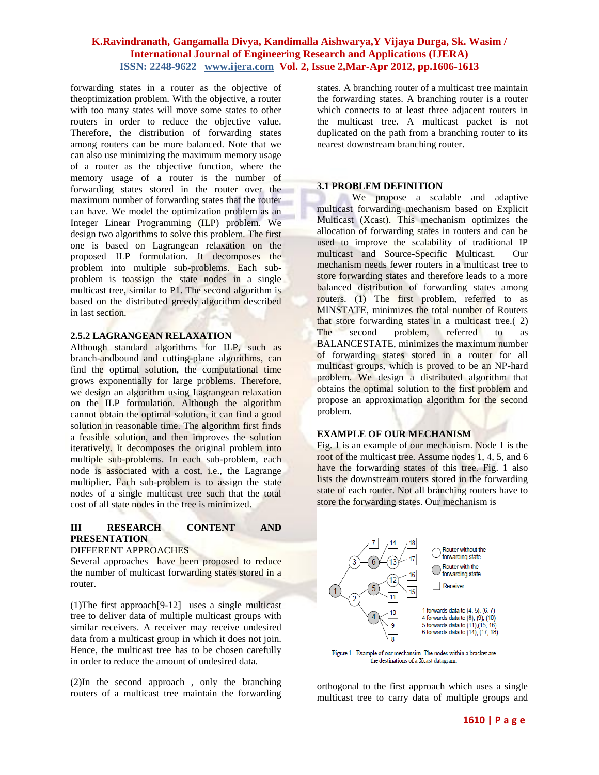forwarding states in a router as the objective of theoptimization problem. With the objective, a router with too many states will move some states to other routers in order to reduce the objective value. Therefore, the distribution of forwarding states among routers can be more balanced. Note that we can also use minimizing the maximum memory usage of a router as the objective function, where the memory usage of a router is the number of forwarding states stored in the router over the maximum number of forwarding states that the router can have. We model the optimization problem as an Integer Linear Programming (ILP) problem. We design two algorithms to solve this problem. The first one is based on Lagrangean relaxation on the proposed ILP formulation. It decomposes the problem into multiple sub-problems. Each subproblem is toassign the state nodes in a single multicast tree, similar to P1. The second algorithm is based on the distributed greedy algorithm described in last section.

#### **2.5.2 LAGRANGEAN RELAXATION**

Although standard algorithms for ILP, such as branch-andbound and cutting-plane algorithms, can find the optimal solution, the computational time grows exponentially for large problems. Therefore, we design an algorithm using Lagrangean relaxation on the ILP formulation. Although the algorithm cannot obtain the optimal solution, it can find a good solution in reasonable time. The algorithm first finds a feasible solution, and then improves the solution iteratively. It decomposes the original problem into multiple sub-problems. In each sub-problem, each node is associated with a cost, i.e., the Lagrange multiplier. Each sub-problem is to assign the state nodes of a single multicast tree such that the total cost of all state nodes in the tree is minimized.

#### **III RESEARCH CONTENT AND PRESENTATION**

#### DIFFERENT APPROACHES

Several approaches have been proposed to reduce the number of multicast forwarding states stored in a router.

(1)The first approach[9-12] uses a single multicast tree to deliver data of multiple multicast groups with similar receivers. A receiver may receive undesired data from a multicast group in which it does not join. Hence, the multicast tree has to be chosen carefully in order to reduce the amount of undesired data.

(2)In the second approach , only the branching routers of a multicast tree maintain the forwarding states. A branching router of a multicast tree maintain the forwarding states. A branching router is a router which connects to at least three adjacent routers in the multicast tree. A multicast packet is not duplicated on the path from a branching router to its nearest downstream branching router.

#### **3.1 PROBLEM DEFINITION**

We propose a scalable and adaptive multicast forwarding mechanism based on Explicit Multicast (Xcast). This mechanism optimizes the allocation of forwarding states in routers and can be used to improve the scalability of traditional IP multicast and Source-Specific Multicast. Our mechanism needs fewer routers in a multicast tree to store forwarding states and therefore leads to a more balanced distribution of forwarding states among routers. (1) The first problem, referred to as MINSTATE, minimizes the total number of Routers that store forwarding states in a multicast tree.( 2) The second problem, referred to as BALANCESTATE, minimizes the maximum number of forwarding states stored in a router for all multicast groups, which is proved to be an NP-hard problem. We design a distributed algorithm that obtains the optimal solution to the first problem and propose an approximation algorithm for the second problem.

#### **EXAMPLE OF OUR MECHANISM**

Fig. 1 is an example of our mechanism. Node 1 is the root of the multicast tree. Assume nodes 1, 4, 5, and 6 have the forwarding states of this tree. Fig. 1 also lists the downstream routers stored in the forwarding state of each router. Not all branching routers have to store the forwarding states. Our mechanism is



orthogonal to the first approach which uses a single multicast tree to carry data of multiple groups and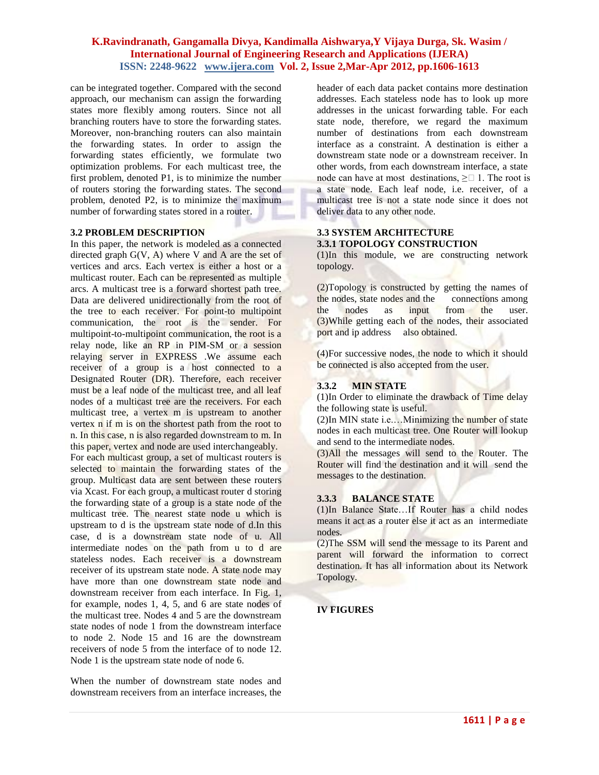can be integrated together. Compared with the second approach, our mechanism can assign the forwarding states more flexibly among routers. Since not all branching routers have to store the forwarding states. Moreover, non-branching routers can also maintain the forwarding states. In order to assign the forwarding states efficiently, we formulate two optimization problems. For each multicast tree, the first problem, denoted P1, is to minimize the number of routers storing the forwarding states. The second problem, denoted P2, is to minimize the maximum number of forwarding states stored in a router.

#### **3.2 PROBLEM DESCRIPTION**

In this paper, the network is modeled as a connected directed graph  $G(V, A)$  where V and A are the set of vertices and arcs. Each vertex is either a host or a multicast router. Each can be represented as multiple arcs. A multicast tree is a forward shortest path tree. Data are delivered unidirectionally from the root of the tree to each receiver. For point-to multipoint communication, the root is the sender. For multipoint-to-multipoint communication, the root is a relay node, like an RP in PIM-SM or a session relaying server in EXPRESS .We assume each receiver of a group is a host connected to a Designated Router (DR). Therefore, each receiver must be a leaf node of the multicast tree, and all leaf nodes of a multicast tree are the receivers. For each multicast tree, a vertex m is upstream to another vertex n if m is on the shortest path from the root to n. In this case, n is also regarded downstream to m. In this paper, vertex and node are used interchangeably. For each multicast group, a set of multicast routers is selected to maintain the forwarding states of the group. Multicast data are sent between these routers via Xcast. For each group, a multicast router d storing the forwarding state of a group is a state node of the multicast tree. The nearest state node u which is upstream to d is the upstream state node of d.In this case, d is a downstream state node of u. All intermediate nodes on the path from u to d are stateless nodes. Each receiver is a downstream receiver of its upstream state node. A state node may have more than one downstream state node and downstream receiver from each interface. In Fig. 1, for example, nodes 1, 4, 5, and 6 are state nodes of the multicast tree. Nodes 4 and 5 are the downstream state nodes of node 1 from the downstream interface to node 2. Node 15 and 16 are the downstream receivers of node 5 from the interface of to node 12. Node 1 is the upstream state node of node 6.

When the number of downstream state nodes and downstream receivers from an interface increases, the header of each data packet contains more destination addresses. Each stateless node has to look up more addresses in the unicast forwarding table. For each state node, therefore, we regard the maximum number of destinations from each downstream interface as a constraint. A destination is either a downstream state node or a downstream receiver. In other words, from each downstream interface, a state node can have at most destinations,  $\geq \square$  1. The root is a state node. Each leaf node, i.e. receiver, of a multicast tree is not a state node since it does not deliver data to any other node.

## **3.3 SYSTEM ARCHITECTURE 3.3.1 TOPOLOGY CONSTRUCTION**

(1)In this module, we are constructing network topology.

(2)Topology is constructed by getting the names of<br>the nodes, state nodes and the connections among the nodes, state nodes and the the nodes as input from the user. (3)While getting each of the nodes, their associated port and ip address also obtained.

(4)For successive nodes, the node to which it should be connected is also accepted from the user.

## **3.3.2 MIN STATE**

(1)In Order to eliminate the drawback of Time delay the following state is useful.

(2)In MIN state i.e.…Minimizing the number of state nodes in each multicast tree. One Router will lookup and send to the intermediate nodes.

(3)All the messages will send to the Router. The Router will find the destination and it will send the messages to the destination.

## **3.3.3 BALANCE STATE**

(1)In Balance State…If Router has a child nodes means it act as a router else it act as an intermediate nodes.

(2)The SSM will send the message to its Parent and parent will forward the information to correct destination. It has all information about its Network Topology.

## **IV FIGURES**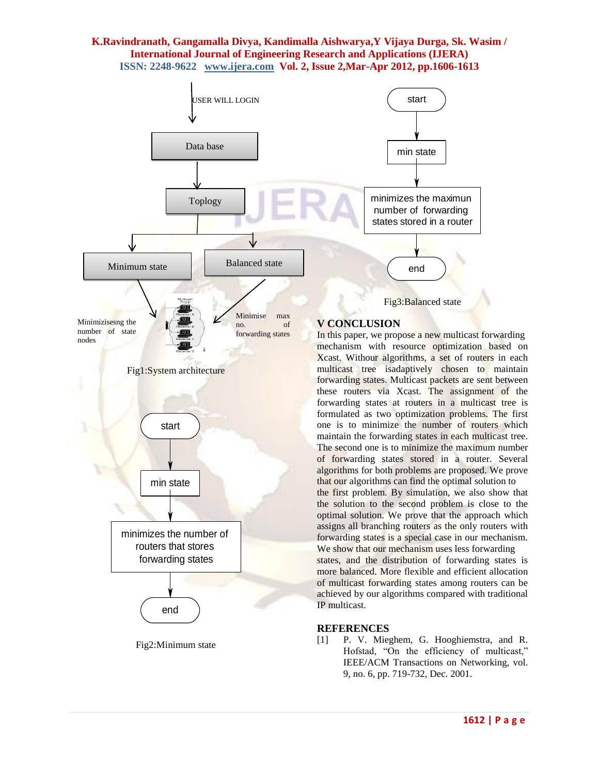

Fig2:Minimum state

[1] P. V. Mieghem, G. Hooghiemstra, and R. Hofstad, "On the efficiency of multicast," IEEE/ACM Transactions on Networking, vol. 9, no. 6, pp. 719-732, Dec. 2001.